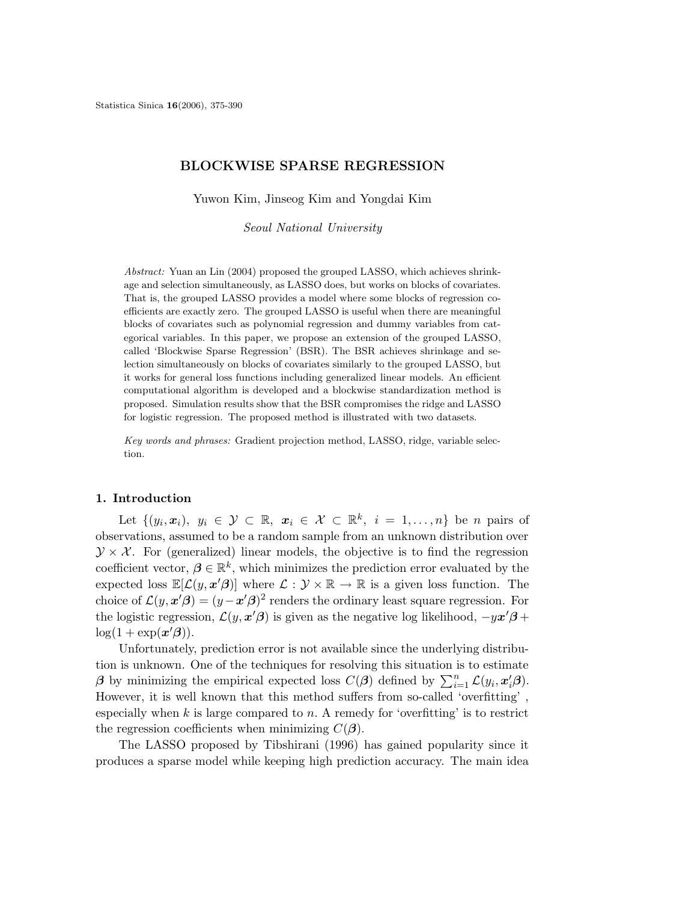## BLOCKWISE SPARSE REGRESSION

Yuwon Kim, Jinseog Kim and Yongdai Kim

Seoul National University

Abstract: Yuan an Lin (2004) proposed the grouped LASSO, which achieves shrinkage and selection simultaneously, as LASSO does, but works on blocks of covariates. That is, the grouped LASSO provides a model where some blocks of regression coefficients are exactly zero. The grouped LASSO is useful when there are meaningful blocks of covariates such as polynomial regression and dummy variables from categorical variables. In this paper, we propose an extension of the grouped LASSO, called 'Blockwise Sparse Regression' (BSR). The BSR achieves shrinkage and selection simultaneously on blocks of covariates similarly to the grouped LASSO, but it works for general loss functions including generalized linear models. An efficient computational algorithm is developed and a blockwise standardization method is proposed. Simulation results show that the BSR compromises the ridge and LASSO for logistic regression. The proposed method is illustrated with two datasets.

Key words and phrases: Gradient projection method, LASSO, ridge, variable selection.

#### 1. Introduction

Let  $\{(y_i, x_i), y_i \in \mathcal{Y} \subset \mathbb{R}, x_i \in \mathcal{X} \subset \mathbb{R}^k, i = 1, \ldots, n\}$  be *n* pairs of observations, assumed to be a random sample from an unknown distribution over  $\mathcal{Y} \times \mathcal{X}$ . For (generalized) linear models, the objective is to find the regression coefficient vector,  $\boldsymbol{\beta} \in \mathbb{R}^k$ , which minimizes the prediction error evaluated by the expected loss  $\mathbb{E}[\mathcal{L}(y, x'\beta)]$  where  $\mathcal{L}: \mathcal{Y} \times \mathbb{R} \to \mathbb{R}$  is a given loss function. The choice of  $\mathcal{L}(y, x'\hat{\beta}) = (y-x'\hat{\beta})^2$  renders the ordinary least square regression. For the logistic regression,  $\mathcal{L}(y, x'\beta)$  is given as the negative log likelihood,  $-yx'\beta +$  $\log(1 + \exp(\mathbf{x}^{\prime}\boldsymbol{\beta})).$ 

Unfortunately, prediction error is not available since the underlying distribution is unknown. One of the techniques for resolving this situation is to estimate  $\beta$  by minimizing the empirical expected loss  $C(\beta)$  defined by  $\sum_{i=1}^{n} \mathcal{L}(y_i, x_i^{\prime} \beta)$ . However, it is well known that this method suffers from so-called 'overfitting' , especially when  $k$  is large compared to  $n$ . A remedy for 'overfitting' is to restrict the regression coefficients when minimizing  $C(\beta)$ .

The LASSO proposed by Tibshirani (1996) has gained popularity since it produces a sparse model while keeping high prediction accuracy. The main idea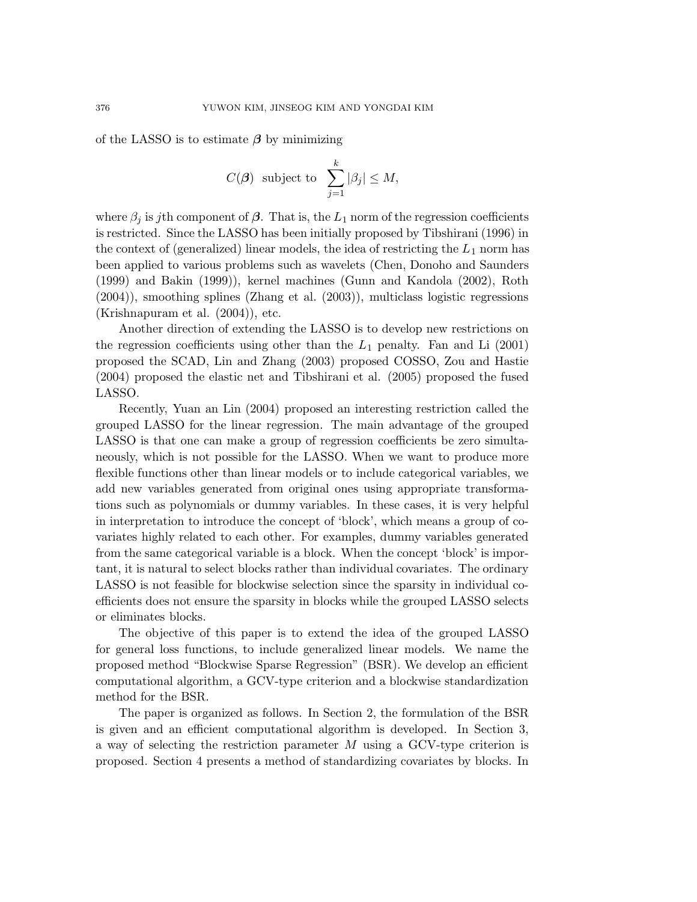of the LASSO is to estimate  $\beta$  by minimizing

$$
C(\boldsymbol{\beta})
$$
 subject to  $\sum_{j=1}^{k} |\beta_j| \le M$ ,

where  $\beta_j$  is jth component of  $\beta$ . That is, the  $L_1$  norm of the regression coefficients is restricted. Since the LASSO has been initially proposed by Tibshirani (1996) in the context of (generalized) linear models, the idea of restricting the  $L_1$  norm has been applied to various problems such as wavelets (Chen, Donoho and Saunders (1999) and Bakin (1999)), kernel machines (Gunn and Kandola (2002), Roth (2004)), smoothing splines (Zhang et al. (2003)), multiclass logistic regressions (Krishnapuram et al. (2004)), etc.

Another direction of extending the LASSO is to develop new restrictions on the regression coefficients using other than the  $L_1$  penalty. Fan and Li (2001) proposed the SCAD, Lin and Zhang (2003) proposed COSSO, Zou and Hastie (2004) proposed the elastic net and Tibshirani et al. (2005) proposed the fused LASSO.

Recently, Yuan an Lin (2004) proposed an interesting restriction called the grouped LASSO for the linear regression. The main advantage of the grouped LASSO is that one can make a group of regression coefficients be zero simultaneously, which is not possible for the LASSO. When we want to produce more flexible functions other than linear models or to include categorical variables, we add new variables generated from original ones using appropriate transformations such as polynomials or dummy variables. In these cases, it is very helpful in interpretation to introduce the concept of 'block', which means a group of covariates highly related to each other. For examples, dummy variables generated from the same categorical variable is a block. When the concept 'block' is important, it is natural to select blocks rather than individual covariates. The ordinary LASSO is not feasible for blockwise selection since the sparsity in individual coefficients does not ensure the sparsity in blocks while the grouped LASSO selects or eliminates blocks.

The objective of this paper is to extend the idea of the grouped LASSO for general loss functions, to include generalized linear models. We name the proposed method "Blockwise Sparse Regression" (BSR). We develop an efficient computational algorithm, a GCV-type criterion and a blockwise standardization method for the BSR.

The paper is organized as follows. In Section 2, the formulation of the BSR is given and an efficient computational algorithm is developed. In Section 3, a way of selecting the restriction parameter M using a GCV-type criterion is proposed. Section 4 presents a method of standardizing covariates by blocks. In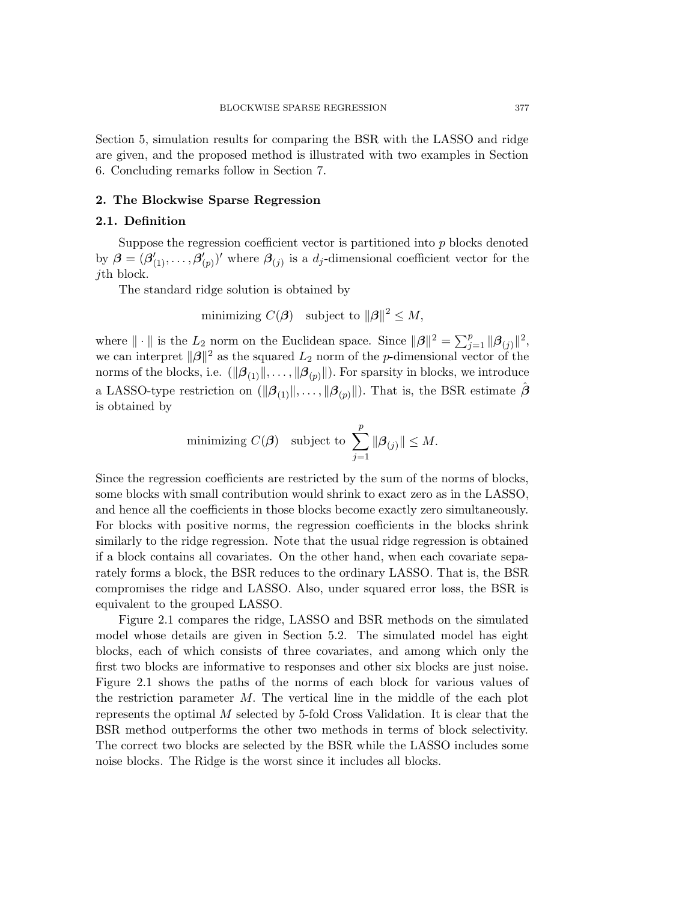Section 5, simulation results for comparing the BSR with the LASSO and ridge are given, and the proposed method is illustrated with two examples in Section 6. Concluding remarks follow in Section 7.

#### 2. The Blockwise Sparse Regression

#### 2.1. Definition

Suppose the regression coefficient vector is partitioned into  $p$  blocks denoted by  $\boldsymbol{\beta} = (\boldsymbol{\beta}_{(1)}', \ldots, \boldsymbol{\beta}_{(n)}')$  $(\rho_{(p)})'$  where  $\beta_{(j)}$  is a  $d_j$ -dimensional coefficient vector for the jth block.

The standard ridge solution is obtained by

minimizing  $C(\beta)$  subject to  $\|\beta\|^2 \leq M$ ,

where  $\|\cdot\|$  is the  $L_2$  norm on the Euclidean space. Since  $\|\beta\|^2 = \sum_{j=1}^p \|\beta_{(j)}\|^2$ , we can interpret  $\|\boldsymbol{\beta}\|^2$  as the squared  $L_2$  norm of the p-dimensional vector of the norms of the blocks, i.e.  $(\|\boldsymbol{\beta}_{(1)}\|,\ldots,\|\boldsymbol{\beta}_{(p)}\|)$ . For sparsity in blocks, we introduce a LASSO-type restriction on  $(\|\beta_{(1)}\|,\ldots,\|\beta_{(p)}\|)$ . That is, the BSR estimate  $\beta$ is obtained by

minimizing 
$$
C(\boldsymbol{\beta})
$$
 subject to  $\sum_{j=1}^p ||\boldsymbol{\beta}_{(j)}|| \leq M$ .

Since the regression coefficients are restricted by the sum of the norms of blocks, some blocks with small contribution would shrink to exact zero as in the LASSO, and hence all the coefficients in those blocks become exactly zero simultaneously. For blocks with positive norms, the regression coefficients in the blocks shrink similarly to the ridge regression. Note that the usual ridge regression is obtained if a block contains all covariates. On the other hand, when each covariate separately forms a block, the BSR reduces to the ordinary LASSO. That is, the BSR compromises the ridge and LASSO. Also, under squared error loss, the BSR is equivalent to the grouped LASSO.

Figure 2.1 compares the ridge, LASSO and BSR methods on the simulated model whose details are given in Section 5.2. The simulated model has eight blocks, each of which consists of three covariates, and among which only the first two blocks are informative to responses and other six blocks are just noise. Figure 2.1 shows the paths of the norms of each block for various values of the restriction parameter  $M$ . The vertical line in the middle of the each plot represents the optimal M selected by 5-fold Cross Validation. It is clear that the BSR method outperforms the other two methods in terms of block selectivity. The correct two blocks are selected by the BSR while the LASSO includes some noise blocks. The Ridge is the worst since it includes all blocks.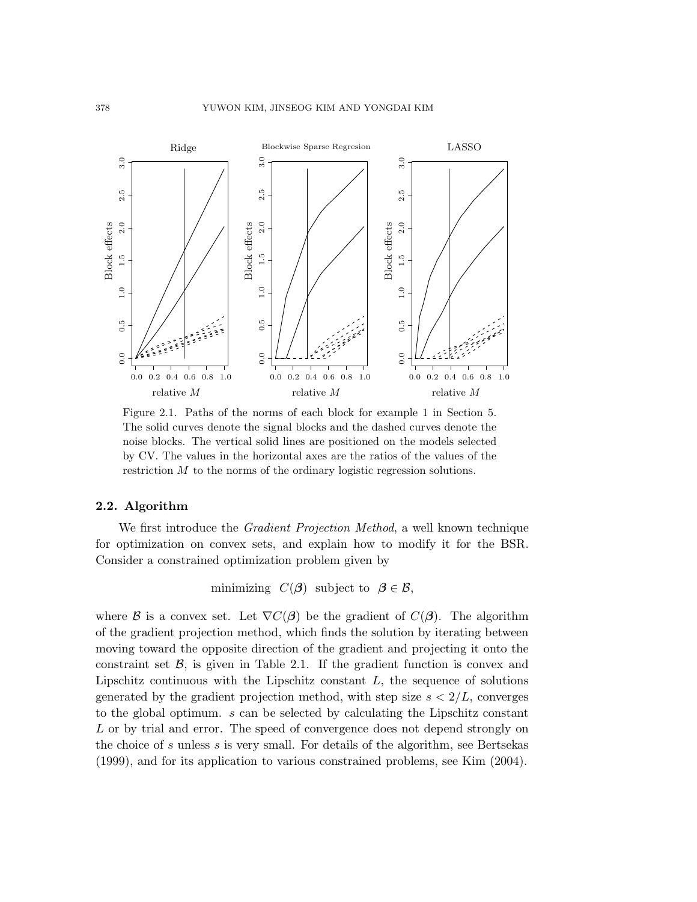#### 378 YUWON KIM, JINSEOG KIM AND YONGDAI KIM



Figure 2.1. Paths of the norms of each block for example 1 in Section 5. The solid curves denote the signal blocks and the dashed curves denote the noise blocks. The vertical solid lines are positioned on the models selected by CV. The values in the horizontal axes are the ratios of the values of the restriction M to the norms of the ordinary logistic regression solutions.

## 2.2. Algorithm

We first introduce the *Gradient Projection Method*, a well known technique for optimization on convex sets, and explain how to modify it for the BSR. Consider a constrained optimization problem given by

minimizing  $C(\beta)$  subject to  $\beta \in \mathcal{B}$ ,

where B is a convex set. Let  $\nabla C(\beta)$  be the gradient of  $C(\beta)$ . The algorithm of the gradient projection method, which finds the solution by iterating between moving toward the opposite direction of the gradient and projecting it onto the constraint set  $\mathcal{B}$ , is given in Table 2.1. If the gradient function is convex and Lipschitz continuous with the Lipschitz constant  $L$ , the sequence of solutions generated by the gradient projection method, with step size  $s < 2/L$ , converges to the global optimum. s can be selected by calculating the Lipschitz constant L or by trial and error. The speed of convergence does not depend strongly on the choice of s unless s is very small. For details of the algorithm, see Bertsekas (1999), and for its application to various constrained problems, see Kim (2004).

1.3 1.4 1.6 1.7

1.8 1.9

1.2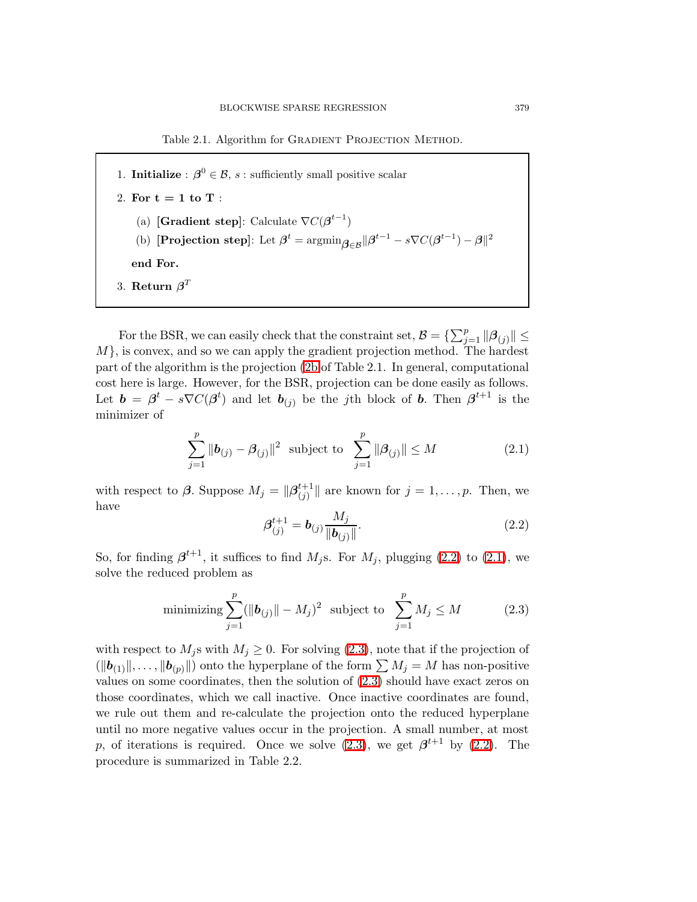Table 2.1. Algorithm for GRADIENT PROJECTION METHOD.

<span id="page-4-0"></span>1. **Initialize**:  $\boldsymbol{\beta}^0 \in \mathcal{B}$ , s: sufficiently small positive scalar 2. For  $t = 1$  to  $T$  : (a) [Gradient step]: Calculate  $\nabla C(\boldsymbol{\beta}^{t-1})$ (b) [Projection step]: Let  $\boldsymbol{\beta}^t = \operatorname{argmin}_{\boldsymbol{\beta} \in \mathcal{B}} \| \boldsymbol{\beta}^{t-1} - s \nabla C (\boldsymbol{\beta}^{t-1}) - \boldsymbol{\beta} \|^2$ end For. 3. Return  $\boldsymbol{\beta}^T$ 

<span id="page-4-2"></span>For the BSR, we can easily check that the constraint set,  $B = \{\sum_{j=1}^{p} ||\boldsymbol{\beta}_{(j)}|| \leq$  $M$ , is convex, and so we can apply the gradient projection method. The hardest part of the algorithm is the projection [\(2b](#page-4-0) of Table 2.1. In general, computational cost here is large. However, for the BSR, projection can be done easily as follows. Let  $\mathbf{b} = \boldsymbol{\beta}^t - s\nabla C(\boldsymbol{\beta}^t)$  and let  $\mathbf{b}_{(j)}$  be the j<sup>th</sup> block of **b**. Then  $\boldsymbol{\beta}^{t+1}$  is the minimizer of

$$
\sum_{j=1}^{p} \|\boldsymbol{b}_{(j)} - \boldsymbol{\beta}_{(j)}\|^2 \text{ subject to } \sum_{j=1}^{p} \|\boldsymbol{\beta}_{(j)}\| \le M \tag{2.1}
$$

<span id="page-4-1"></span>with respect to  $\boldsymbol{\beta}$ . Suppose  $M_j = \|\boldsymbol{\beta}_{(j)}^{t+1}\|$  $\|f_{(j)}^{t+1}\|$  are known for  $j=1,\ldots,p$ . Then, we have

$$
\beta_{(j)}^{t+1} = \mathbf{b}_{(j)} \frac{M_j}{\|\mathbf{b}_{(j)}\|}.
$$
\n(2.2)

So, for finding  $\beta^{t+1}$ , it suffices to find  $M_j$ s. For  $M_j$ , plugging [\(2.2\)](#page-4-1) to [\(2.1\)](#page-4-2), we solve the reduced problem as

<span id="page-4-3"></span>
$$
\text{minimizing } \sum_{j=1}^{p} (\|\boldsymbol{b}_{(j)}\| - M_j)^2 \text{ subject to } \sum_{j=1}^{p} M_j \le M \tag{2.3}
$$

with respect to  $M_j$ s with  $M_j \geq 0$ . For solving  $(2.3)$ , note that if the projection of  $(\|\boldsymbol{b}_{(1)}\|,\ldots, \|\boldsymbol{b}_{(p)}\|)$  onto the hyperplane of the form  $\sum M_j = M$  has non-positive values on some coordinates, then the solution of [\(2.3\)](#page-4-3) should have exact zeros on those coordinates, which we call inactive. Once inactive coordinates are found, we rule out them and re-calculate the projection onto the reduced hyperplane until no more negative values occur in the projection. A small number, at most p, of iterations is required. Once we solve  $(2.3)$ , we get  $\beta^{t+1}$  by  $(2.2)$ . The procedure is summarized in Table 2.2.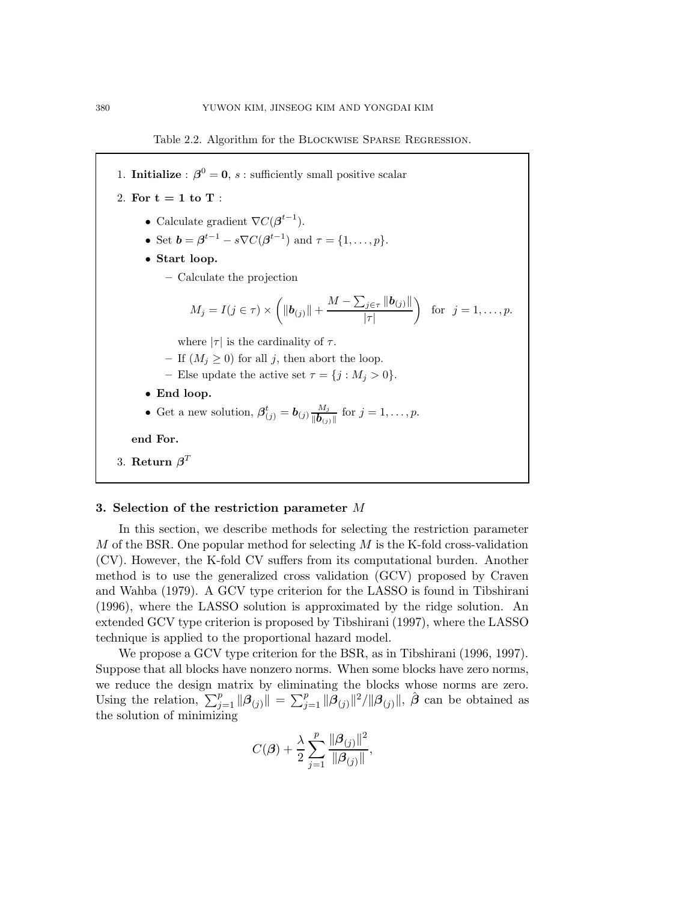Table 2.2. Algorithm for the Blockwise Sparse Regression.



## 3. Selection of the restriction parameter M

In this section, we describe methods for selecting the restriction parameter  $M$  of the BSR. One popular method for selecting  $M$  is the K-fold cross-validation (CV). However, the K-fold CV suffers from its computational burden. Another method is to use the generalized cross validation (GCV) proposed by Craven and Wahba (1979). A GCV type criterion for the LASSO is found in Tibshirani (1996), where the LASSO solution is approximated by the ridge solution. An extended GCV type criterion is proposed by Tibshirani (1997), where the LASSO technique is applied to the proportional hazard model.

We propose a GCV type criterion for the BSR, as in Tibshirani (1996, 1997). Suppose that all blocks have nonzero norms. When some blocks have zero norms, we reduce the design matrix by eliminating the blocks whose norms are zero. Using the relation,  $\sum_{j=1}^p ||\boldsymbol{\beta}_{(j)}|| = \sum_{j=1}^p ||\boldsymbol{\beta}_{(j)}||^2 / ||\boldsymbol{\beta}_{(j)}||$ ,  $\hat{\boldsymbol{\beta}}$  can be obtained as the solution of minimizing

$$
C(\boldsymbol{\beta})+\frac{\lambda}{2}\sum_{j=1}^{p}\frac{\|\boldsymbol{\beta}_{(j)}\|^2}{\|\boldsymbol{\beta}_{(j)}\|},
$$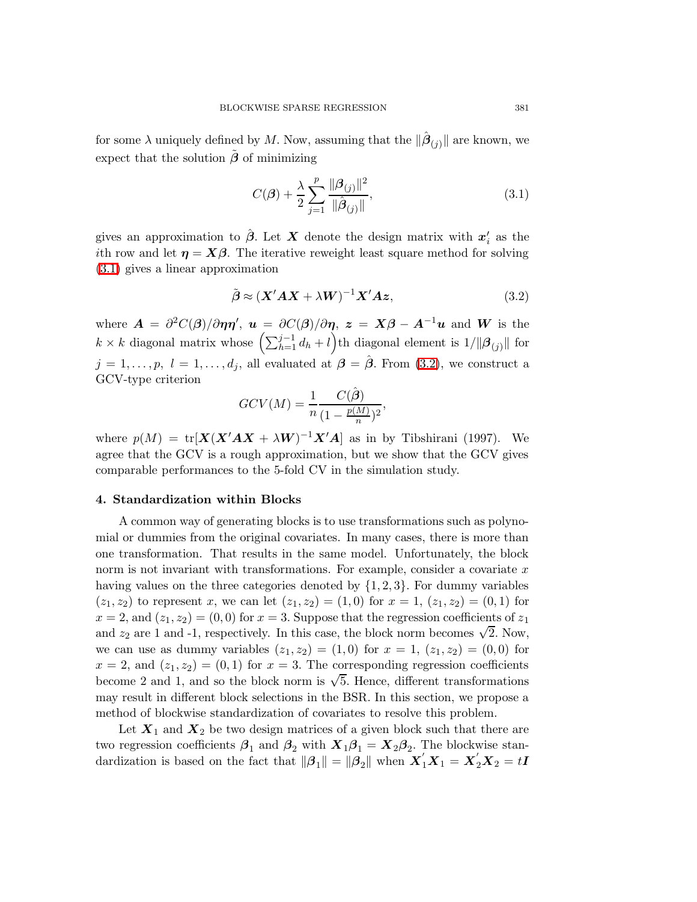for some  $\lambda$  uniquely defined by M. Now, assuming that the  $\|\hat{\boldsymbol{\beta}}_{(j)}\|$  are known, we expect that the solution  $\tilde{\beta}$  of minimizing

<span id="page-6-0"></span>
$$
C(\beta) + \frac{\lambda}{2} \sum_{j=1}^{p} \frac{\|\beta_{(j)}\|^2}{\|\hat{\beta}_{(j)}\|},
$$
\n(3.1)

gives an approximation to  $\hat{\boldsymbol{\beta}}$ . Let  $\boldsymbol{X}$  denote the design matrix with  $\boldsymbol{x}'_i$  $i<sub>i</sub>$  as the ith row and let  $\eta = X\beta$ . The iterative reweight least square method for solving [\(3.1\)](#page-6-0) gives a linear approximation

$$
\tilde{\boldsymbol{\beta}} \approx (\boldsymbol{X}' \boldsymbol{A} \boldsymbol{X} + \lambda \boldsymbol{W})^{-1} \boldsymbol{X}' \boldsymbol{A} \boldsymbol{z},
$$
\n(3.2)

<span id="page-6-1"></span>where  $\mathbf{A} = \frac{\partial^2 C(\mathbf{\beta})}{\partial \eta \eta}$ ,  $\mathbf{u} = \frac{\partial C(\mathbf{\beta})}{\partial \eta}$ ,  $\mathbf{z} = \mathbf{X}\mathbf{\beta} - \mathbf{A}^{-1}\mathbf{u}$  and W is the  $k \times k$  diagonal matrix whose  $\left(\sum_{h=1}^{j-1} d_h + l\right)$ th diagonal element is  $1/\|\boldsymbol{\beta}_{(j)}\|$  for  $j = 1, \ldots, p, l = 1, \ldots, d_j$ , all evaluated at  $\beta = \hat{\beta}$ . From [\(3.2\)](#page-6-1), we construct a GCV-type criterion

$$
GCV(M) = \frac{1}{n} \frac{C(\hat{\boldsymbol{\beta}})}{(1 - \frac{p(M)}{n})^2},
$$

where  $p(M) = \text{tr}[\mathbf{X}(\mathbf{X}'\mathbf{A}\mathbf{X} + \lambda \mathbf{W})^{-1}\mathbf{X}'\mathbf{A}]$  as in by Tibshirani (1997). We agree that the GCV is a rough approximation, but we show that the GCV gives comparable performances to the 5-fold CV in the simulation study.

## 4. Standardization within Blocks

A common way of generating blocks is to use transformations such as polynomial or dummies from the original covariates. In many cases, there is more than one transformation. That results in the same model. Unfortunately, the block norm is not invariant with transformations. For example, consider a covariate  $x$ having values on the three categories denoted by  $\{1, 2, 3\}$ . For dummy variables  $(z_1, z_2)$  to represent x, we can let  $(z_1, z_2) = (1, 0)$  for  $x = 1$ ,  $(z_1, z_2) = (0, 1)$  for  $x = 2$ , and  $(z_1, z_2) = (0, 0)$  for  $x = 3$ . Suppose that the regression coefficients of  $z_1$ and  $z_2$  are 1 and -1, respectively. In this case, the block norm becomes  $\sqrt{2}$ . Now, we can use as dummy variables  $(z_1, z_2) = (1, 0)$  for  $x = 1, (z_1, z_2) = (0, 0)$  for  $x = 2$ , and  $(z_1, z_2) = (0, 1)$  for  $x = 3$ . The corresponding regression coefficients become 2 and 1, and so the block norm is  $\sqrt{5}$ . Hence, different transformations may result in different block selections in the BSR. In this section, we propose a method of blockwise standardization of covariates to resolve this problem.

Let  $X_1$  and  $X_2$  be two design matrices of a given block such that there are two regression coefficients  $\beta_1$  and  $\beta_2$  with  $X_1\beta_1 = X_2\beta_2$ . The blockwise standardization is based on the fact that  $\|\beta_1\| = \|\beta_2\|$  when  $X_1'X_1 = X_2'X_2 = tI$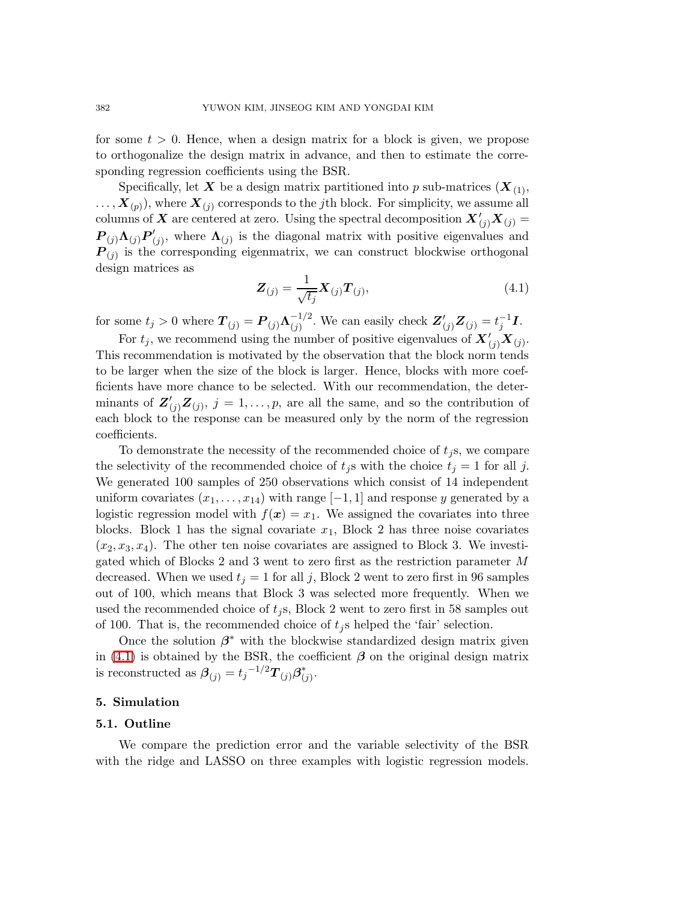for some  $t > 0$ . Hence, when a design matrix for a block is given, we propose to orthogonalize the design matrix in advance, and then to estimate the corresponding regression coefficients using the BSR.

<span id="page-7-0"></span>Specifically, let X be a design matrix partitioned into p sub-matrices  $(X_{(1)},$  $\ldots$  ,  $\bm{X}_{(p)}$  ), where  $\bm{X}_{(j)}$  corresponds to the  $j$ th block. For simplicity, we assume all columns of X are centered at zero. Using the spectral decomposition  $\mathbf{X}'_{(j)}\mathbf{X}_{(j)} =$  $\overline{\boldsymbol{P}}_{(j)} \boldsymbol{\Lambda}_{(j)} \overline{\boldsymbol{P}}'_{(j)}$  $\Lambda_{(j)}$ , where  $\Lambda_{(j)}$  is the diagonal matrix with positive eigenvalues and  $P_{(j)}$  is the corresponding eigenmatrix, we can construct blockwise orthogonal design matrices as

$$
\boldsymbol{Z}_{(j)} = \frac{1}{\sqrt{t_j}} \boldsymbol{X}_{(j)} \boldsymbol{T}_{(j)},
$$
\n(4.1)

for some  $t_j > 0$  where  $\boldsymbol{T}_{(j)} = \boldsymbol{P}_{(j)} \boldsymbol{\Lambda}_{(j)}^{-1/2}$  $\frac{(-1)^2}{(j)}$ . We can easily check  $\mathbf{Z}'_{(j)}\mathbf{Z}_{(j)} = t_j^{-1}\mathbf{I}$ .

For  $t_j$ , we recommend using the number of positive eigenvalues of  $\mathbf{X}'_{(j)}\mathbf{X}_{(j)}$ . This recommendation is motivated by the observation that the block norm tends to be larger when the size of the block is larger. Hence, blocks with more coefficients have more chance to be selected. With our recommendation, the determinants of  $\mathbf{Z}'_{(j)}\mathbf{Z}_{(j)}$ ,  $j=1,\ldots,p$ , are all the same, and so the contribution of each block to the response can be measured only by the norm of the regression coefficients.

To demonstrate the necessity of the recommended choice of  $t_i$ s, we compare the selectivity of the recommended choice of  $t_j$ s with the choice  $t_j = 1$  for all j. We generated 100 samples of 250 observations which consist of 14 independent uniform covariates  $(x_1, \ldots, x_{14})$  with range  $[-1, 1]$  and response y generated by a logistic regression model with  $f(x) = x_1$ . We assigned the covariates into three blocks. Block 1 has the signal covariate  $x_1$ , Block 2 has three noise covariates  $(x_2, x_3, x_4)$ . The other ten noise covariates are assigned to Block 3. We investigated which of Blocks 2 and 3 went to zero first as the restriction parameter M decreased. When we used  $t_j = 1$  for all j, Block 2 went to zero first in 96 samples out of 100, which means that Block 3 was selected more frequently. When we used the recommended choice of  $t_i$ s, Block 2 went to zero first in 58 samples out of 100. That is, the recommended choice of  $t_j$ s helped the 'fair' selection.

Once the solution  $\beta^*$  with the blockwise standardized design matrix given in [\(4.1\)](#page-7-0) is obtained by the BSR, the coefficient  $\beta$  on the original design matrix is reconstructed as  $\boldsymbol{\beta}_{(j)} = t_j^{-1/2} \boldsymbol{T}_{(j)} \boldsymbol{\beta}_{(j)}^*$  $j^*$ 

#### 5. Simulation

#### 5.1. Outline

We compare the prediction error and the variable selectivity of the BSR with the ridge and LASSO on three examples with logistic regression models.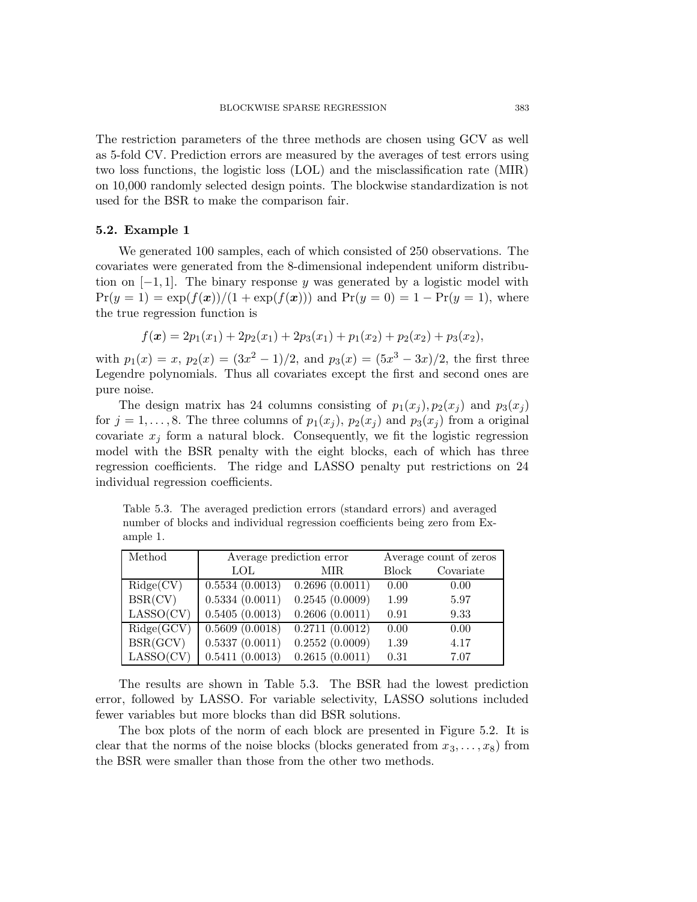The restriction parameters of the three methods are chosen using GCV as well as 5-fold CV. Prediction errors are measured by the averages of test errors using two loss functions, the logistic loss (LOL) and the misclassification rate (MIR) on 10,000 randomly selected design points. The blockwise standardization is not used for the BSR to make the comparison fair.

## 5.2. Example 1

We generated 100 samples, each of which consisted of 250 observations. The covariates were generated from the 8-dimensional independent uniform distribution on  $[-1, 1]$ . The binary response y was generated by a logistic model with  $Pr(y = 1) = exp(f(x))/(1 + exp(f(x)))$  and  $Pr(y = 0) = 1 - Pr(y = 1)$ , where the true regression function is

$$
f(x) = 2p_1(x_1) + 2p_2(x_1) + 2p_3(x_1) + p_1(x_2) + p_2(x_2) + p_3(x_2),
$$

with  $p_1(x) = x$ ,  $p_2(x) = (3x^2 - 1)/2$ , and  $p_3(x) = (5x^3 - 3x)/2$ , the first three Legendre polynomials. Thus all covariates except the first and second ones are pure noise.

The design matrix has 24 columns consisting of  $p_1(x_i)$ ,  $p_2(x_i)$  and  $p_3(x_i)$ for  $j = 1, \ldots, 8$ . The three columns of  $p_1(x_j)$ ,  $p_2(x_j)$  and  $p_3(x_j)$  from a original covariate  $x_j$  form a natural block. Consequently, we fit the logistic regression model with the BSR penalty with the eight blocks, each of which has three regression coefficients. The ridge and LASSO penalty put restrictions on 24 individual regression coefficients.

Table 5.3. The averaged prediction errors (standard errors) and averaged number of blocks and individual regression coefficients being zero from Example 1.

| Method                                | Average prediction error |                | Average count of zeros |           |
|---------------------------------------|--------------------------|----------------|------------------------|-----------|
|                                       | LOL.                     | MIR.           | <b>Block</b>           | Covariate |
| $\text{Ridge}(CV)$                    | 0.5534(0.0013)           | 0.2696(0.0011) | 0.00                   | 0.00      |
| BSR(CV)                               | 0.5334(0.0011)           | 0.2545(0.0009) | 1.99                   | 5.97      |
| LASSO(CV)                             | 0.5405(0.0013)           | 0.2606(0.0011) | 0.91                   | 9.33      |
| $\text{Ridge}(\overline{\text{GCV}})$ | 0.5609(0.0018)           | 0.2711(0.0012) | 0.00                   | 0.00      |
| BSR(GCV)                              | 0.5337(0.0011)           | 0.2552(0.0009) | 1.39                   | 4.17      |
| LASSO(CV)                             | 0.5411(0.0013)           | 0.2615(0.0011) | 0.31                   | 7.07      |

The results are shown in Table 5.3. The BSR had the lowest prediction error, followed by LASSO. For variable selectivity, LASSO solutions included fewer variables but more blocks than did BSR solutions.

The box plots of the norm of each block are presented in Figure 5.2. It is clear that the norms of the noise blocks (blocks generated from  $x_3, \ldots, x_8$ ) from the BSR were smaller than those from the other two methods.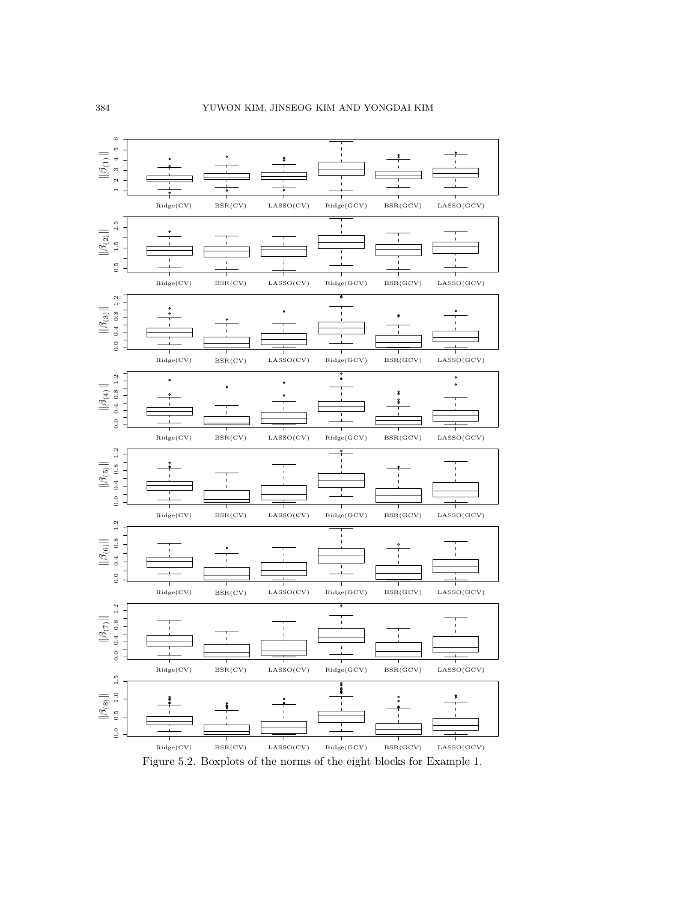



Figure 5.2. Boxplots of the norms of the eight blocks for Example 1.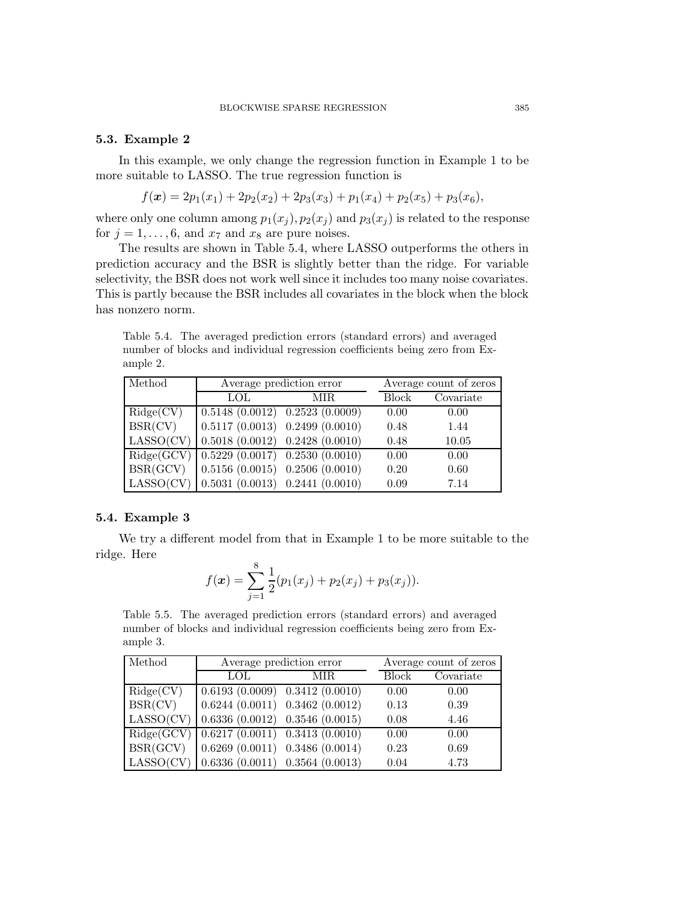## 5.3. Example 2

In this example, we only change the regression function in Example 1 to be more suitable to LASSO. The true regression function is

$$
f(\mathbf{x}) = 2p_1(x_1) + 2p_2(x_2) + 2p_3(x_3) + p_1(x_4) + p_2(x_5) + p_3(x_6),
$$

where only one column among  $p_1(x_j)$ ,  $p_2(x_j)$  and  $p_3(x_j)$  is related to the response for  $j = 1, \ldots, 6$ , and  $x_7$  and  $x_8$  are pure noises.

The results are shown in Table 5.4, where LASSO outperforms the others in prediction accuracy and the BSR is slightly better than the ridge. For variable selectivity, the BSR does not work well since it includes too many noise covariates. This is partly because the BSR includes all covariates in the block when the block has nonzero norm.

Table 5.4. The averaged prediction errors (standard errors) and averaged number of blocks and individual regression coefficients being zero from Example 2.

| Method     | Average prediction error                               |      |              | Average count of zeros |  |
|------------|--------------------------------------------------------|------|--------------|------------------------|--|
|            | <b>LOL</b>                                             | MIR. | <b>Block</b> | Covariate              |  |
| Ridge(CV)  | $0.5148(0.0012)\overline{0.2523(0.0009)}$              |      | 0.00         | 0.00                   |  |
| BSR(CV)    | $0.5117(0.0013)$ $0.2499(0.0010)$                      |      | 0.48         | 1.44                   |  |
| LASSO(CV)  | $0.5018(0.0012)$ $0.2428(0.0010)$                      |      | 0.48         | 10.05                  |  |
| Ridge(GCV) | $0.5229(0.0017)$ $0.2530(0.0010)$                      |      | 0.00         | 0.00                   |  |
| BSR(GCV)   | $\vert 0.5156 \; (0.0015) \; 0.2506 \; (0.0010) \vert$ |      | 0.20         | 0.60                   |  |
| LASSO(CV)  | $(0.5031\ (0.0013)\ 0.2441\ (0.0010))$                 |      | 0.09         | 7.14                   |  |

## 5.4. Example 3

We try a different model from that in Example 1 to be more suitable to the ridge. Here

$$
f(\boldsymbol{x}) = \sum_{j=1}^{8} \frac{1}{2} (p_1(x_j) + p_2(x_j) + p_3(x_j)).
$$

Table 5.5. The averaged prediction errors (standard errors) and averaged number of blocks and individual regression coefficients being zero from Example 3.

| Method     | Average prediction error          |                                             |              | Average count of zeros |  |
|------------|-----------------------------------|---------------------------------------------|--------------|------------------------|--|
|            | LOL.                              | MIR.                                        | <b>Block</b> | Covariate              |  |
| Ridge(CV)  | $0.6193(0.0009)$ $0.3412(0.0010)$ |                                             | 0.00         | 0.00                   |  |
| BSR(CV)    | $0.6244(0.0011)$ $0.3462(0.0012)$ |                                             | 0.13         | 0.39                   |  |
| LASSO(CV)  | $0.6336(0.0012)$ $0.3546(0.0015)$ |                                             | 0.08         | 4.46                   |  |
| Ridge(GCV) |                                   | $\overline{0.6217(0.0011)(0.3413(0.0010))}$ | 0.00         | 0.00                   |  |
| BSR(GCV)   | $0.6269(0.0011)$ $0.3486(0.0014)$ |                                             | 0.23         | 0.69                   |  |
| LASSO(CV)  | $0.6336(0.0011)$ $0.3564(0.0013)$ |                                             | 0.04         | 4.73                   |  |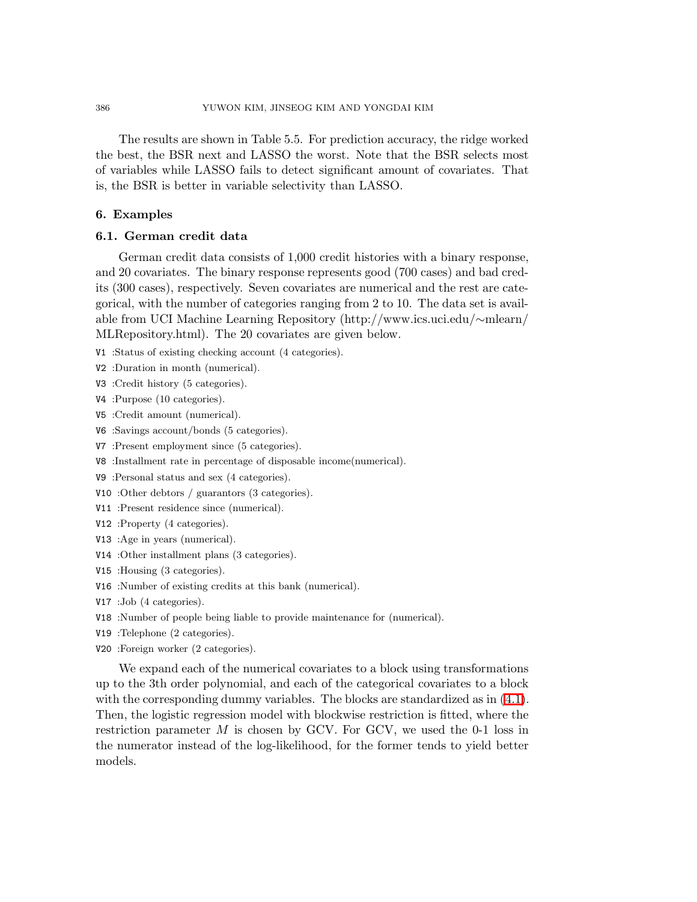The results are shown in Table 5.5. For prediction accuracy, the ridge worked the best, the BSR next and LASSO the worst. Note that the BSR selects most of variables while LASSO fails to detect significant amount of covariates. That is, the BSR is better in variable selectivity than LASSO.

## 6. Examples

#### 6.1. German credit data

German credit data consists of 1,000 credit histories with a binary response, and 20 covariates. The binary response represents good (700 cases) and bad credits (300 cases), respectively. Seven covariates are numerical and the rest are categorical, with the number of categories ranging from 2 to 10. The data set is available from UCI Machine Learning Repository (http://www.ics.uci.edu/∼mlearn/ MLRepository.html). The 20 covariates are given below.

V1 :Status of existing checking account (4 categories).

- V2 :Duration in month (numerical).
- V3 :Credit history (5 categories).
- V4 :Purpose (10 categories).
- V5 :Credit amount (numerical).
- V6 :Savings account/bonds (5 categories).
- V7 :Present employment since (5 categories).
- V8 :Installment rate in percentage of disposable income(numerical).
- V9 :Personal status and sex (4 categories).
- V10 :Other debtors / guarantors (3 categories).
- V11 :Present residence since (numerical).
- V12 :Property (4 categories).
- V13 :Age in years (numerical).
- V14 :Other installment plans (3 categories).
- V15 :Housing (3 categories).
- V16 :Number of existing credits at this bank (numerical).
- V17 :Job (4 categories).
- V18 :Number of people being liable to provide maintenance for (numerical).
- V19 :Telephone (2 categories).
- V20 :Foreign worker (2 categories).

We expand each of the numerical covariates to a block using transformations up to the 3th order polynomial, and each of the categorical covariates to a block with the corresponding dummy variables. The blocks are standardized as in  $(4.1)$ . Then, the logistic regression model with blockwise restriction is fitted, where the restriction parameter  $M$  is chosen by GCV. For GCV, we used the 0-1 loss in the numerator instead of the log-likelihood, for the former tends to yield better models.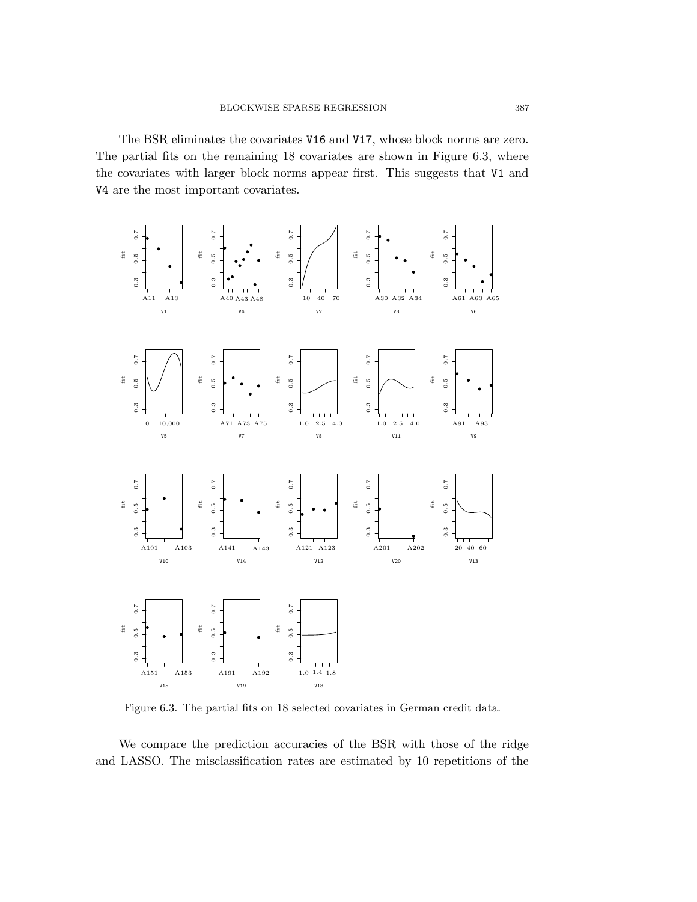#### BLOCKWISE SPARSE REGRESSION 387

Ridge(CV) BSR(CV) LASSO(CV) Ridge(GCV) BSR(GCV) LASSO(GCV)  $\|\beta_{(1)}\|$  $\|\beta_{(2)}\|$  $\|\beta_{(3)}\|$  $\|\beta_{(4)}\|$  $\|\beta_{(5)}\|$ 

 $\|\beta_{(6)}\|$ The BSR eliminates the covariates V16 and V17, whose block norms are zero.  $\|\mathcal{A}_{\{1\}}^{\alpha}\|$  partial fits on the remaining 18 covariates are shown in Figure 6.3, where the covariates with larger block norms appear first. This suggests that V1 and V4 are the most important covariates.  $\|\beta_{(8)}^{\text{up}}\|$ 



Figure 6.3. The partial fits on 18 selected covariates in German credit data.

We compare the prediction accuracies of the BSR with those of the ridge and LASSO. The misclassification rates are estimated by 10 repetitions of the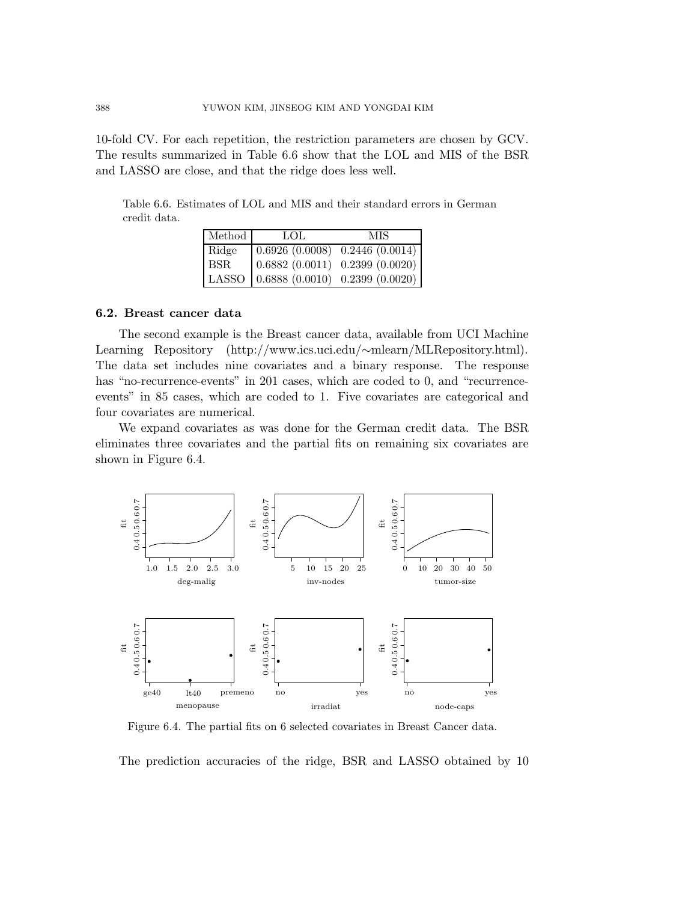| V <sub>1</sub>  |                                        |
|-----------------|----------------------------------------|
| V <sub>2</sub>  |                                        |
| V <sub>3</sub>  |                                        |
| V <sub>4</sub>  |                                        |
| V <sub>5</sub>  |                                        |
| V <sub>6</sub>  |                                        |
| V7              |                                        |
| V8              |                                        |
| 388V9           | YUWON KIM, JINSEOG KIM AND YONGDAI KIM |
| V <sub>10</sub> |                                        |
| V11             |                                        |

 $10$ <sup>fold</sup> CV. For each repetition, the restriction parameters are chosen by GCV. The results summarized in Table 6.6 show that the LOL and MIS of the BSR  $\text{and} \text{and} \text{and}$  and that the ridge does less well. v15

V16

V20

A11

 $k$  kg  $k$  kg  $k$  kg  $k$ 

V<sub>17</sub> Table 6.6. Estimates of LOL and MIS and their standard errors in German credit data. V18 V19

| Method     | LOL.                                                            | MIS |
|------------|-----------------------------------------------------------------|-----|
| Ridge      | $\vert 0.6926 \vert (0.0008) \vert 0.2446 \vert (0.0014) \vert$ |     |
| <b>BSR</b> | $\vert 0.6882 \vert (0.0011) \vert 0.2399 \vert (0.0020) \vert$ |     |
|            | LASSO $(0.6888(0.0010) 0.2399(0.0020))$                         |     |

A13 A40 A43

#### 6.2. Breast cancer data A48 A30

A<sup>32</sup>The second example is the Breast cancer data, available from UCI Machine Learning Repository (http://www.ics.uci.edu/∼mlearn/MLRepository.html). A34 The data set includes nine covariates and a binary response. The response has<sup>the "</sup>no-recurrence-events" in 201 cases, which are coded to 0, and "recurrence $e^{\text{AT1}}_{\text{QED}}$ ts" in 85 cases, which are coded to 1. Five covariates are categorical and  $f_{\text{A73}}$  covariates are numerical. A61 A75

We expand covariates as was done for the German credit data. The BSR A91 eliminates three covariates and the partial fits on remaining six covariates are a<sup>101</sup><br>shown in Figure 6.4. A103



Figure 6.4. The partial fits on 6 selected covariates in Breast Cancer data.

The prediction accuracies of the ridge, BSR and LASSO obtained by 10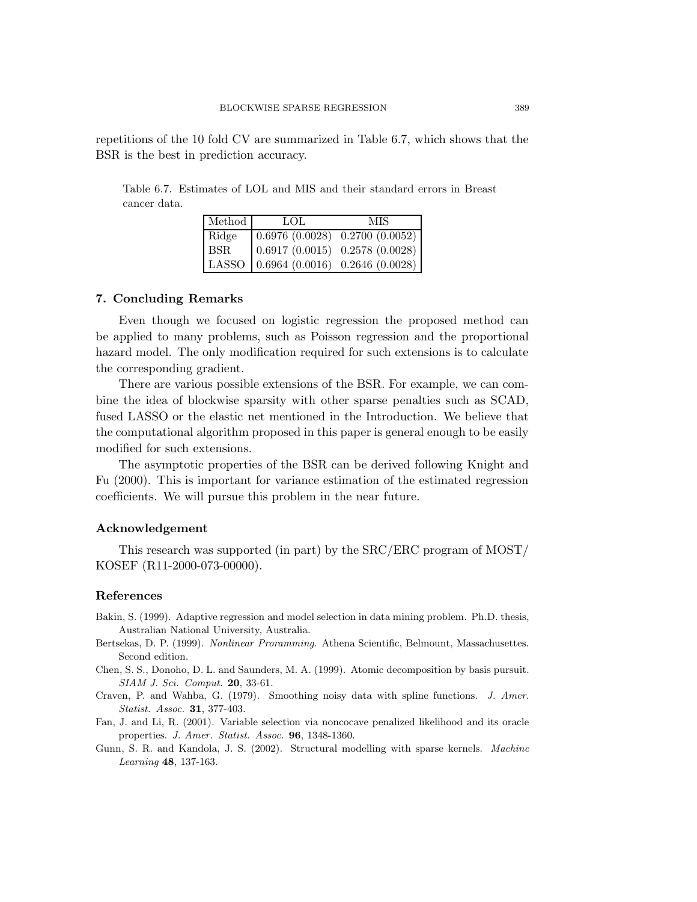repetitions of the 10 fold CV are summarized in Table 6.7, which shows that the BSR is the best in prediction accuracy.

Table 6.7. Estimates of LOL and MIS and their standard errors in Breast cancer data.

| Method | LOL.                                      | <b>MIS</b> |
|--------|-------------------------------------------|------------|
| Ridge  | (0.6976(0.0028) 0.2700(0.0052))           |            |
| BSR.   | (0.6917(0.0015) 0.2578(0.0028))           |            |
|        | LASSO $(0.6964 (0.0016) 0.2646 (0.0028))$ |            |

## 7. Concluding Remarks

Even though we focused on logistic regression the proposed method can be applied to many problems, such as Poisson regression and the proportional hazard model. The only modification required for such extensions is to calculate the corresponding gradient.

There are various possible extensions of the BSR. For example, we can combine the idea of blockwise sparsity with other sparse penalties such as SCAD, fused LASSO or the elastic net mentioned in the Introduction. We believe that the computational algorithm proposed in this paper is general enough to be easily modified for such extensions.

The asymptotic properties of the BSR can be derived following Knight and Fu (2000). This is important for variance estimation of the estimated regression coefficients. We will pursue this problem in the near future.

#### Acknowledgement

This research was supported (in part) by the SRC/ERC program of MOST/ KOSEF (R11-2000-073-00000).

# References

- Bakin, S. (1999). Adaptive regression and model selection in data mining problem. Ph.D. thesis, Australian National University, Australia.
- Bertsekas, D. P. (1999). Nonlinear Proramming. Athena Scientific, Belmount, Massachusettes. Second edition.
- Chen, S. S., Donoho, D. L. and Saunders, M. A. (1999). Atomic decomposition by basis pursuit. SIAM J. Sci. Comput. 20, 33-61.
- Craven, P. and Wahba, G. (1979). Smoothing noisy data with spline functions. J. Amer. Statist. Assoc. 31, 377-403.
- Fan, J. and Li, R. (2001). Variable selection via noncocave penalized likelihood and its oracle properties. J. Amer. Statist. Assoc. 96, 1348-1360.
- Gunn, S. R. and Kandola, J. S. (2002). Structural modelling with sparse kernels. Machine Learning 48, 137-163.